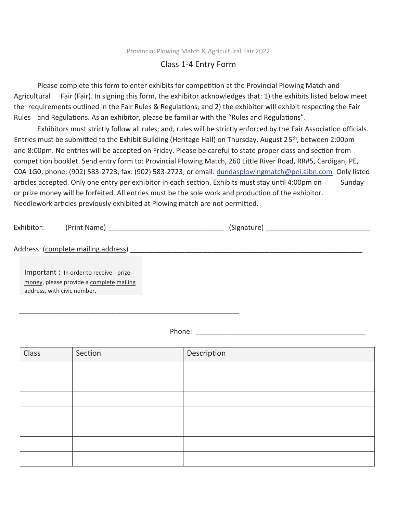Provincial Plowing Match & Agricultural Fair 2022

## Class 1-4 Entry Form

Please complete this form to enter exhibits for competition at the Provincial Plowing Match and Agricultural Fair (Fair). In signing this form, the exhibitor acknowledges that: 1) the exhibits listed below meet the requirements outlined in the Fair Rules & Regulations; and 2) the exhibitor will exhibit respecting the Fair Rules and Regulations. As an exhibitor, please be familiar with the "Rules and Regulations".

Exhibitors must strictly follow all rules; and, rules will be strictly enforced by the Fair Association officials. Entries must be submitted to the Exhibit Building (Heritage Hall) on Thursday, August 25<sup>th</sup>, between 2:00pm and 8:00pm. No entries will be accepted on Friday. Please be careful to state proper class and section from competition booklet. Send entry form to: Provincial Plowing Match, 260 Little River Road, RR#5, Cardigan, PE, C0A 1G0; phone: (902) 583-2723; fax: (902) 583-2723; or email: dundasplowingmatch@pei.aibn.com Only listed articles accepted. Only one entry per exhibitor in each section. Exhibits must stay until 4:00pm on Sunday or prize money will be forfeited. All entries must be the sole work and production of the exhibitor. Needlework articles previously exhibited at Plowing match are not permitted.

| Exhibitor:                  | (Print Name)                                                                     | (Signature) |
|-----------------------------|----------------------------------------------------------------------------------|-------------|
|                             | Address: (complete mailing address)                                              |             |
| address, with civic number. | Important: In order to receive prize<br>money, please provide a complete mailing |             |

Phone:  $\blacksquare$ 

\_\_\_\_\_\_\_\_\_\_\_\_\_\_\_\_\_\_\_\_\_\_\_\_\_\_\_\_\_\_\_\_\_\_\_\_\_\_\_\_\_\_\_\_\_\_\_\_\_\_\_\_\_\_\_\_\_

| Class | Section | Description |
|-------|---------|-------------|
|       |         |             |
|       |         |             |
|       |         |             |
|       |         |             |
|       |         |             |
|       |         |             |
|       |         |             |